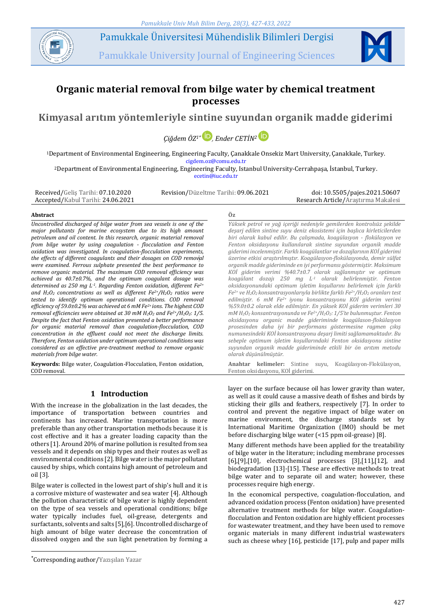

Pamukkale Üniversitesi Mühendislik Bilimleri Dergisi

Pamukkale University Journal of Engineering Sciences



# **Organic material removal from bilge water by chemical treatment processes**

**Kimyasal arıtım yöntemleriyle sintine suyundan organik madde giderimi**

*Çiğdem ÖZ1\* [,](https://orcid.org/ 0000-0003-4428-4538) Ender CETİN<sup>2</sup>*

<sup>1</sup>Department of Environmental Engineering, Engineering Faculty, Çanakkale Onsekiz Mart University, Çanakkale, Turkey. cigdem.oz@comu.edu.tr

<sup>2</sup>Department of Environmental Engineering, Engineering Faculty, Istanbul University-Cerrahpaşa, İstanbul, Turkey. [ecetin@iuc.edu.tr](mailto:ecetin@iuc.edu.tr)

Received/Geliş Tarihi: 07.10.2020 Accepted/Kabul Tarihi: 24.06.2021 Revision/Düzeltme Tarihi: 09.06.2021 doi: 10.5505/pajes.2021.50607

Research Article/Araştırma Makalesi

#### **Abstract Öz**

*Uncontrolled discharged of bilge water from sea vessels is one of the major pollutants for marine ecosystem due to its high amount petroleum and oil content. In this research, organic material removal from bilge water by using coagulation - flocculation and Fenton oxidation was investigated. In coagulation-flocculation experiments, the effects of different coagulants and their dosages on COD removal were examined. Ferrous sulphate presented the best performance to remove organic material. The maximum COD removal efficiency was achieved as 40.7±0.7%, and the optimum coagulant dosage was determined as 250 mg L-1 . Regarding Fenton oxidation, different Fe2+ and H2O<sup>2</sup> concentrations as well as different Fe2+/H2O<sup>2</sup> ratios were tested to identify optimum operational conditions. COD removal efficiency of 59.0±0.2% was achieved at 6 mM Fe2+ ions. The highest COD removal efficiencies were obtained at 30 mM H2O<sup>2</sup> and Fe2+/H2O2: 1/5. Despite the fact that Fenton oxidation presented a better performance for organic material removal than coagulation-flocculation, COD concentration in the effluent could not meet the discharge limits. Therefore, Fenton oxidation under optimum operational conditions was considered as an effective pre-treatment method to remove organic materials from bilge water.*

**Keywords:** Bilge water, Coagulation-Flocculation, Fenton oxidation, COD removal.

# **1 Introduction**

With the increase in the globalization in the last decades, the importance of transportation between countries and continents has increased. Marine transportation is more preferable than any other transportation methods because it is cost effective and it has a greater loading capacity than the others [1]. Around 20% of marine pollution is resulted from sea vessels and it depends on ship types and their routes as well as environmental conditions [2]. Bilge water is the major pollutant caused by ships, which contains high amount of petroleum and oil [3].

Bilge water is collected in the lowest part of ship's hull and it is a corrosive mixture of wastewater and sea water [4]. Although the pollution characteristic of bilge water is highly dependent on the type of sea vessels and operational conditions; bilge water typically includes fuel, oil-grease, detergents and surfactants, solvents and salts [5],[6]. Uncontrolled discharge of high amount of bilge water decrease the concentration of dissolved oxygen and the sun light penetration by forming a

 $\overline{a}$ 

*Yüksek petrol ve yağ içeriği nedeniyle gemilerden kontrolsüz şekilde deşarj edilen sintine suyu deniz ekosistemi için başlıca kirleticilerden biri olarak kabul edilir. Bu çalışmada, koagülasyon - flokülasyon ve Fenton oksidasyonu kullanılarak sintine suyundan organik madde giderimi incelenmiştir. Farklı koagülantlar ve dozajlarının KOİ giderimi üzerine etkisi araştırılmıştır. Koagülasyon-flokülasyonda, demir sülfat organik madde gideriminde en iyi performansı göstermiştir. Maksimum KOİ giderim verimi %40.7±0.7 olarak sağlanmıştır ve optimum koagülant dozajı 250 mg L-1 olarak belirlenmiştir. Fenton oksidasyonundaki optimum işletim koşullarını belirlemek için farklı Fe2+ ve H2O2 konsantrasyonlarıyla birlikte farklı Fe2+/H2O<sup>2</sup> oranları test edilmiştir. 6 mM Fe2+ iyonu konsantrasyonu KOİ giderim verimi %59.0±0.2 olarak elde edilmiştir. En yüksek KOİ giderim verimleri 30 mM H2O<sup>2</sup> konsantrasyonunda ve Fe2+/H2O2: 1/5'te bulunmuştur. Fenton oksidasyonu organic madde gideriminde koagülason-flokülasyon prosesinden daha iyi bir performans göstermesine ragmen çıkış numunesindeki KOİ konsantrasyonu deşarj limiti sağlamamaktadır. Bu sebeple optimum işletim koşullarındaki Fenton oksidasyonu sintine suyundan organik madde gideriminde etkili bir ön arıtım metodu olarak düşünülmüştür.*

**Anahtar kelimeler:** Sintine suyu, Koagülasyon-Flokülasyon, Fenton oksidasyonu, KOİ giderimi.

layer on the surface because oil has lower gravity than water, as well as it could cause a massive death of fishes and birds by sticking their gills and feathers, respectively [7]. In order to control and prevent the negative impact of bilge water on marine environment, the discharge standards set by International Maritime Organization (IMO) should be met before discharging bilge water (<15 ppm oil-grease) [8].

Many different methods have been applied for the treatability of bilge water in the literature; including membrane processes [6],[9],[10], electrochemical processes [3],[11],[12], and biodegradation [13]-[15]. These are effective methods to treat bilge water and to separate oil and water; however, these processes require high energy.

In the economical perspective, coagulation-flocculation, and advanced oxidation process (Fenton oxidation) have presented alternative treatment methods for bilge water. Coagulationflocculation and Fenton oxidation are highly efficient processes for wastewater treatment, and they have been used to remove organic materials in many different industrial wastewaters such as cheese whey [16], pesticide [17], pulp and paper mills

<sup>\*</sup>Corresponding author/Yazışılan Yazar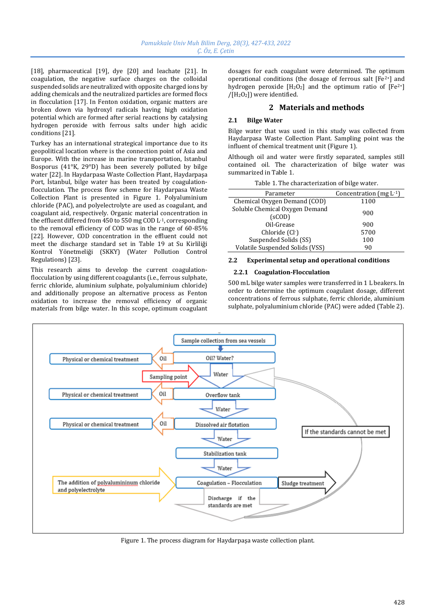[18], pharmaceutical [19], dye [20] and leachate [21]. In coagulation, the negative surface charges on the colloidal suspended solids are neutralized with opposite charged ions by adding chemicals and the neutralized particles are formed flocs in flocculation [17]. In Fenton oxidation, organic matters are broken down via hydroxyl radicals having high oxidation potential which are formed after serial reactions by catalysing hydrogen peroxide with ferrous salts under high acidic conditions [21].

Turkey has an international strategical importance due to its geopolitical location where is the connection point of Asia and Europe. With the increase in marine transportation, Istanbul Bosporus (41°K, 29°D) has been severely polluted by bilge water [22]. In Haydarpasa Waste Collection Plant, Haydarpaşa Port, İstanbul, bilge water has been treated by coagulationflocculation. The process flow scheme for Haydarpasa Waste Collection Plant is presented in Figure 1. Polyaluminium chloride (PAC), and polyelectrolyte are used as coagulant, and coagulant aid, respectively. Organic material concentration in the effluent differed from 450 to 550 mg COD L-1, corresponding to the removal efficiency of COD was in the range of 60-85% [22]. However, COD concentration in the effluent could not meet the discharge standard set in Table 19 at Su Kirliliği Kontrol Yönetmeliği (SKKY) (Water Pollution Control Regulations) [23].

This research aims to develop the current coagulationflocculation by using different coagulants (i.e., ferrous sulphate, ferric chloride, aluminium sulphate, polyaluminium chloride) and additionally propose an alternative process as Fenton oxidation to increase the removal efficiency of organic materials from bilge water. In this scope, optimum coagulant dosages for each coagulant were determined. The optimum operational conditions (the dosage of ferrous salt [Fe2+] and hydrogen peroxide  $[H_2O_2]$  and the optimum ratio of  $[Fe^{2+}]$ /[H2O2]) were identified.

# **2 Materials and methods**

### **2.1 Bilge Water**

Bilge water that was used in this study was collected from Haydarpasa Waste Collection Plant. Sampling point was the influent of chemical treatment unit (Figure 1).

Although oil and water were firstly separated, samples still contained oil. The characterization of bilge water was summarized in Table 1.

| rable 1. The enargeter mation of blige water. |                              |  |  |  |
|-----------------------------------------------|------------------------------|--|--|--|
| Parameter                                     | Concentration (mg $L^{-1}$ ) |  |  |  |
| Chemical Oxygen Demand (COD)                  | 1100                         |  |  |  |
| Soluble Chemical Oxygen Demand<br>(sCOD)      | 900                          |  |  |  |
| Oil-Grease                                    | 900                          |  |  |  |
| Chloride (Cl-)                                | 5700                         |  |  |  |
| Suspended Solids (SS)                         | 100                          |  |  |  |
| Volatile Suspended Solids (VSS)               | 90                           |  |  |  |

# Table 1. The characterization of bilge water.

# **2.2 Experimental setup and operational conditions**

#### **2.2.1 Coagulation-Flocculation**

500 mL bilge water samples were transferred in 1 L beakers. In order to determine the optimum coagulant dosage, different concentrations of ferrous sulphate, ferric chloride, aluminium sulphate, polyaluminium chloride (PAC) were added (Table 2).



Figure 1. The process diagram for Haydarpaşa waste collection plant.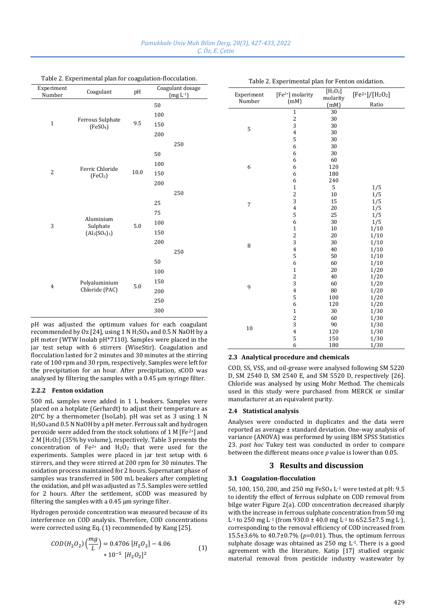| Experiment<br>Number | Coagulant                                 | pH      | Coagulant dosage<br>$(mg L-1)$ | Experiment |
|----------------------|-------------------------------------------|---------|--------------------------------|------------|
|                      |                                           |         | 50                             | Number     |
| $\mathbf 1$          | Ferrous Sulphate<br>(FeSO <sub>4</sub> )  | 9.5     | 100                            |            |
|                      |                                           |         | 150                            | 5          |
|                      |                                           |         | 200                            |            |
|                      |                                           |         | 250                            |            |
|                      |                                           |         | 50                             |            |
| $\overline{2}$       | Ferric Chloride<br>(FeCl <sub>3</sub> )   | 10.0    | 100                            | 6          |
|                      |                                           |         | 150                            |            |
|                      |                                           |         | 200                            |            |
|                      |                                           |         | 250                            |            |
|                      |                                           |         | 25                             | 7          |
|                      |                                           |         | 75                             |            |
| 3                    | Aluminium<br>Sulphate<br>$(Al_2(SO_4)_3)$ | 5.0     | 100                            |            |
|                      |                                           |         | 150                            |            |
|                      |                                           |         | 200                            | $\, 8$     |
|                      |                                           |         | 250                            |            |
| $\overline{4}$       | Polyaluminium<br>Chloride (PAC)           | $5.0\,$ | 50                             |            |
|                      |                                           |         | 100                            |            |
|                      |                                           |         | 150                            | 9          |
|                      |                                           |         | 200                            |            |
|                      |                                           |         | 250                            |            |
|                      |                                           |         | 300                            |            |

Table 2. Experimental plan for coagulation-flocculation.

pH was adjusted the optimum values for each coagulant recommended by Oz [24], using 1 N  $H<sub>2</sub>SO<sub>4</sub>$  and 0.5 N NaOH by a pH meter (WTW Inolab pH\*7110). Samples were placed in the jar test setup with 6 stirrers (WiseStir). Coagulation and flocculation lasted for 2 minutes and 30 minutes at the stirring rate of 100 rpm and 30 rpm, respectively. Samples were left for the precipitation for an hour. After precipitation, sCOD was analysed by filtering the samples with a 0.45 µm syringe filter.

#### **2.2.2 Fenton oxidation**

500 mL samples were added in 1 L beakers. Samples were placed on a hotplate (Gerhardt) to adjust their temperature as 20°C by a thermometer (IsoLab). pH was set as 3 using 1 N H2SO4 and 0.5 N NaOH by a pH meter. Ferrous salt and hydrogen peroxide were added from the stock solutions of 1 M [Fe2+] and 2 M [H2O2] (35% by volume), respectively. Table 3 presents the concentration of Fe<sup>2+</sup> and  $H_2O_2$  that were used for the experiments. Samples were placed in jar test setup with 6 stirrers, and they were stirred at 200 rpm for 30 minutes. The oxidation process maintained for 2 hours. Supernatant phase of samples was transferred in 500 mL beakers after completing the oxidation, and pH was adjusted as 7.5. Samples were settled for 2 hours. After the settlement, sCOD was measured by filtering the samples with a 0.45 um syringe filter.

Hydrogen peroxide concentration was measured because of its interference on COD analysis. Therefore, COD concentrations were corrected using Eq. (1) recommended by Kang [25].

$$
COD(H_2O_2)\left(\frac{mg}{L}\right) = 0.4706 [H_2O_2] - 4.06
$$
  
\* 10<sup>-5</sup> [H<sub>2</sub>O<sub>2</sub>]<sup>2</sup> (1)

| Experiment<br>Number | $[Fe2+]$ molarity<br>(mM) | [H <sub>2</sub> O <sub>2</sub> ]<br>molarity | $[Fe2+]/[H2O2]$<br>Ratio |
|----------------------|---------------------------|----------------------------------------------|--------------------------|
|                      |                           | (mM)                                         |                          |
|                      | $\mathbf{1}$              | 30                                           |                          |
| 5                    | $\overline{\mathbf{c}}$   | 30                                           |                          |
|                      | 3                         | 30                                           |                          |
|                      | $\overline{4}$            | 30                                           |                          |
|                      | 5<br>6                    | 30                                           |                          |
|                      |                           | 30<br>30                                     |                          |
|                      | 6                         |                                              |                          |
|                      | 6<br>6                    | 60<br>120                                    |                          |
| 6                    | 6                         | 180                                          |                          |
|                      | 6                         | 240                                          |                          |
|                      | $\mathbf 1$               | 5                                            | 1/5                      |
|                      | $\overline{\mathbf{c}}$   | 10                                           | 1/5                      |
|                      | 3                         | 15                                           | 1/5                      |
| 7                    | $\overline{4}$            | 20                                           | 1/5                      |
|                      | 5                         | 25                                           | 1/5                      |
|                      | 6                         | 30                                           | 1/5                      |
|                      | $\mathbf{1}$              | 10                                           | 1/10                     |
|                      | $\overline{\mathbf{c}}$   | 20                                           | 1/10                     |
|                      | 3                         | 30                                           | 1/10                     |
| 8                    | $\overline{4}$            | 40                                           | 1/10                     |
|                      | 5                         | 50                                           | 1/10                     |
| 9                    | 6                         | 60                                           | 1/10                     |
|                      | $\mathbf{1}$              | 20                                           | 1/20                     |
|                      | $\overline{c}$            | 40                                           | 1/20                     |
|                      | 3                         | 60                                           | 1/20                     |
|                      | $\overline{4}$            | 80                                           | 1/20                     |
|                      | 5                         | 100                                          | 1/20                     |
|                      | 6                         | 120                                          | 1/20                     |
| 10                   | $\mathbf{1}$              | 30                                           | 1/30                     |
|                      | $\overline{\mathbf{c}}$   | 60                                           | 1/30                     |
|                      | 3                         | 90                                           | 1/30                     |
|                      | $\overline{4}$            | 120                                          | 1/30                     |
|                      | 5                         | 150                                          | 1/30                     |
|                      | 6                         | 180                                          | 1/30                     |

Table 2. Experimental plan for Fenton oxidation.

# **2.3 Analytical procedure and chemicals**

COD, SS, VSS, and oil-grease were analysed following SM 5220 D, SM 2540 D, SM 2540 E, and SM 5520 D, respectively [26]. Chloride was analysed by using Mohr Method. The chemicals used in this study were purchased from MERCK or similar manufacturer at an equivalent purity.

#### **2.4 Statistical analysis**

Analyses were conducted in duplicates and the data were reported as average ± standard deviation. One-way analysis of variance (ANOVA) was performed by using IBM SPSS Statistics 23. *post hoc* Tukey test was conducted in order to compare between the different means once *p* value is lower than 0.05.

# **3 Results and discussion**

#### **3.1 Coagulation-flocculation**

50, 100, 150, 200, and 250 mg FeSO<sup>4</sup> L-1 were tested at pH: 9.5 to identify the effect of ferrous sulphate on COD removal from bilge water Figure 2(a). COD concentration decreased sharply with the increase in ferrous sulphate concentration from 50 mg L<sup>-1</sup> to 250 mg L<sup>-1</sup> (from 930.0  $\pm$  40.0 mg L<sup>-1</sup> to 652.5 $\pm$ 7.5 mg L<sup>-</sup>), corresponding to the removal efficiency of COD increased from 15.5±3.6% to 40.7±0.7% (*p*=0.01). Thus, the optimum ferrous sulphate dosage was obtained as  $250$  mg  $L<sup>-1</sup>$ . There is a good agreement with the literature. Katip [17] studied organic material removal from pesticide industry wastewater by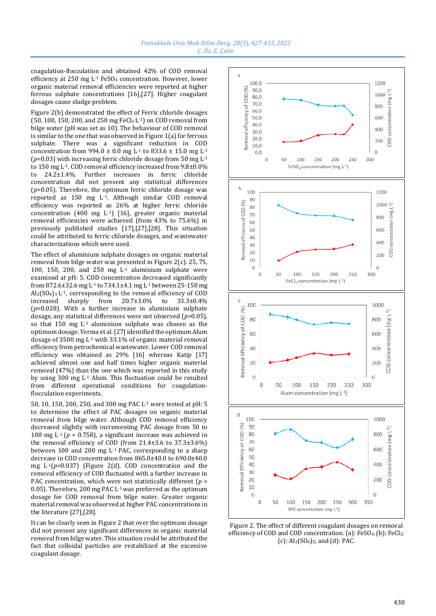coagulation-flocculation and obtained 42% of COD removal efficiency at 250 mg L-1 FeSO<sup>4</sup> concentration. However, lower organic material removal efficiencies were reported at higher ferrous sulphate concentrations [16],[27]. Higher coagulant dosages cause sludge problem.

Figure 2(b) demonstrated the effect of Ferric chloride dosages  $(50, 100, 150, 200,$  and  $250$  mg FeCl<sub>3</sub> L<sup>-1</sup>) on COD removal from bilge water (pH was set as 10). The behaviour of COD removal is similar to the one that was observed in Figure  $1(a)$  for ferrous sulphate. There was a significant reduction in COD concentration from 994.0  $\pm$  0.0 mg L<sup>-1</sup> to 833.6  $\pm$  15.0 mg L<sup>-1</sup>  $(p=0.03)$  with increasing ferric chloride dosage from 50 mg L<sup>-1</sup> to 150 mg L-1. COD removal efficiency increased from 9.8±0.0% to 24.2±1.4%. Further increases in ferric chloride concentration did not present any statistical differences (*p*>0.05). Therefore, the optimum ferric chloride dosage was reported as 150 mg L-1. Although similar COD removal efficiency was reported as 26% at higher ferric chloride concentration  $(400 \text{ mg } L^{-1})$   $[16]$ , greater organic material removal efficiencies were achieved (from 43% to 75.6%) in previously published studies [17],[27],[28]. This situation could be attributed to ferric chloride dosages, and wastewater characterizations which were used.

The effect of aluminium sulphate dosages on organic material removal from bilge water was presented in Figure 2(c). 25, 75, 100, 150, 200, and 250 mg L-1 aluminium sulphate were examined at pH: 5. COD concentration decreased significantly from 872.6±32.6 mg L-1 to 734.1±4.1 mg L-1 between 25-150 mg  $Al_2(SO_4)$ <sub>3</sub> L<sup>-1</sup>, corresponding to the removal efficiency of COD increased sharply from 20.7±3.0% to 33.3±0.4% (*p*=0.028). With a further increase in aluminium sulphate dosage, any statistical differences were not observed (*p*>0.05), so that 150 mg L-1 aluminium sulphate was chosen as the optimum dosage. Verma et al. [27] identified the optimum Alum dosage of 3500 mg  $\mathrm{L}^{1}$  with 33.1% of organic material removal efficiency from petrochemical wastewater. Lower COD removal efficiency was obtained as 29% [16] whereas Katip [17] achieved almost one and half times higher organic material removal (47%) than the one which was reported in this study by using 300 mg L-1 Alum. This fluctuation could be resulted from different operational conditions for coagulationflocculation experiments.

50, 10, 150, 200, 250, and 300 mg PAC L-1 were tested at pH: 5 to determine the effect of PAC dosages on organic material removal from bilge water. Although COD removal efficiency decreased slightly with incrementing PAC dosage from 50 to 100 mg L<sup>-1</sup> ( $p = 0.758$ ), a significant increase was achieved in the removal efficiency of COD (from 21.4±3.6 to 37.3±3.6%) between 100 and 200 mg L-1 PAC, corresponding to a sharp decrease in COD concentration from 865.0±40.0 to 690.0±40.0 mg L-1(*p*=0.037) (Figure 2(d). COD concentration and the removal efficiency of COD fluctuated with a further increase in PAC concentration, which were not statistically different (*p* > 0.05). Therefore, 200 mg PAC L-1 was preferred as the optimum dosage for COD removal from bilge water. Greater organic material removal was observed at higher PAC concentrations in the literature [27],[28].

It can be clearly seen in Figure 2 that over the optimum dosage did not present any significant differences in organic material removal from bilge water. This situation could be attributed the fact that colloidal particles are restabilized at the excessive coagulant dosage.



Figure 2. The effect of different coagulant dosages on removal efficiency of COD and COD concentration. (a): FeSO4; (b): FeCl3; (c):  $Al_2(SO_4)_3$ ; and (d): PAC.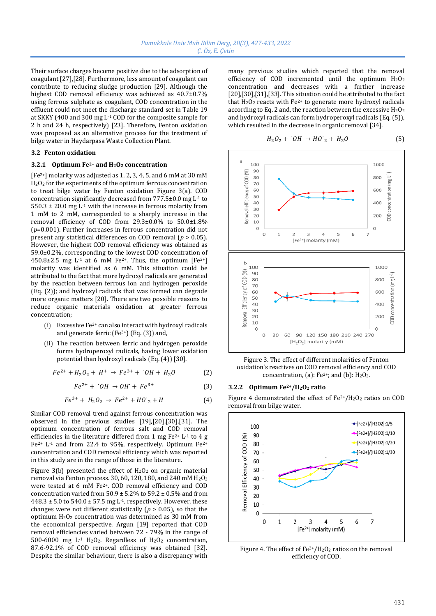Their surface charges become positive due to the adsorption of coagulant [27],[28]. Furthermore, less amount of coagulant can contribute to reducing sludge production [29]. Although the highest COD removal efficiency was achieved as 40.7±0.7% using ferrous sulphate as coagulant, COD concentration in the effluent could not meet the discharge standard set in Table 19 at SKKY (400 and 300 mg L-1 COD for the composite sample for 2 h and 24 h, respectively) [23]. Therefore, Fenton oxidation was proposed as an alternative process for the treatment of bilge water in Haydarpasa Waste Collection Plant.

#### **3.2 Fenton oxidation**

#### **3.2.1 Optimum Fe2+ and H2O<sup>2</sup> concentration**

[Fe<sup>2+</sup>] molarity was adjusted as 1, 2, 3, 4, 5, and 6 mM at 30 mM H2O<sup>2</sup> for the experiments of the optimum ferrous concentration to treat bilge water by Fenton oxidation Figure 3(a). COD concentration significantly decreased from 777.5±0.0 mg L-1 to 550.3  $\pm$  20.0 mg L<sup>-1</sup> with the increase in ferrous molarity from 1 mM to 2 mM, corresponded to a sharply increase in the removal efficiency of COD from 29.3±0.0% to 50.0±1.8% (*p*=0.001). Further increases in ferrous concentration did not present any statistical differences on COD removal (*p* > 0.05). However, the highest COD removal efficiency was obtained as 59.0±0.2%, corresponding to the lowest COD concentration of 450.8±2.5 mg L<sup>-1</sup> at 6 mM Fe<sup>2+</sup>. Thus, the optimum [Fe<sup>2+</sup>] molarity was identified as 6 mM. This situation could be attributed to the fact that more hydroxyl radicals are generated by the reaction between ferrous ion and hydrogen peroxide (Eq. (2)); and hydroxyl radicals that was formed can degrade more organic matters [20]. There are two possible reasons to reduce organic materials oxidation at greater ferrous concentration;

- (i) Excessive Fe2+ can also interact with hydroxyl radicals and generate ferric (Fe $3+$ ) (Eq. (3)) and,
- (ii) The reaction between ferric and hydrogen peroxide forms hydroperoxyl radicals, having lower oxidation potential than hydroxyl radicals (Eq. (4)) [30].

$$
Fe^{2+} + H_2O_2 + H^+ \rightarrow Fe^{3+} + {}^{0}OH + H_2O
$$
 (2)

$$
Fe^{2+} + \, ^\cdot OH \rightarrow OH^\cdot + Fe^{3+} \tag{3}
$$

$$
Fe^{3+} + H_2O_2 \rightarrow Fe^{2+} + HO'_2 + H \tag{4}
$$

Similar COD removal trend against ferrous concentration was observed in the previous studies [19],[20],[30],[31]. The optimum concentration of ferrous salt and COD removal efficiencies in the literature differed from 1 mg Fe2+ L-1 to 4 g  $Fe<sup>2+</sup> L<sup>-1</sup>$  and from 22.4 to 95%, respectively. Optimum  $Fe<sup>2+</sup>$ concentration and COD removal efficiency which was reported in this study are in the range of those in the literature.

Figure 3(b) presented the effect of  $H_2O_2$  on organic material removal via Fenton process. 30, 60, 120, 180, and 240 mM  $H<sub>2</sub>O<sub>2</sub>$ were tested at 6 mM Fe2+. COD removal efficiency and COD concentration varied from  $50.9 \pm 5.2\%$  to  $59.2 \pm 0.5\%$  and from  $448.3 \pm 5.0$  to  $540.0 \pm 57.5$  mg L<sup>-1</sup>, respectively. However, these changes were not different statistically ( $p > 0.05$ ), so that the optimum H2O<sup>2</sup> concentration was determined as 30 mM from the economical perspective. Argun [19] reported that COD removal efficiencies varied between 72 - 79% in the range of 500-6000 mg L-1 H2O2. Regardless of H2O<sup>2</sup> concentration, 87.6-92.1% of COD removal efficiency was obtained [32]. Despite the similar behaviour, there is also a discrepancy with

many previous studies which reported that the removal efficiency of COD incremented until the optimum  $H_2O_2$ concentration and decreases with a further increase [20],[30],[31],[33]. This situation could be attributed to the fact that  $H_2O_2$  reacts with  $Fe^{2+}$  to generate more hydroxyl radicals according to Eq. 2 and, the reaction between the excessive  $H_2O_2$ and hydroxyl radicals can form hydroperoxyl radicals (Eq. (5)), which resulted in the decrease in organic removal [34].

$$
H_2O_2 + 'OH \rightarrow HO'_2 + H_2O \tag{5}
$$



Figure 3. The effect of different molarities of Fenton oxidation's reactives on COD removal efficiency and COD concentration, (a):  $Fe^{2+}$ ; and (b):  $H_2O_2$ .

#### **3.2.2 Optimum Fe2+/H2O<sup>2</sup> ratio**

Figure 4 demonstrated the effect of  $Fe^{2+}/H_2O_2$  ratios on COD removal from bilge water.



Figure 4. The effect of  $Fe^{2+}/H_2O_2$  ratios on the removal efficiency of COD.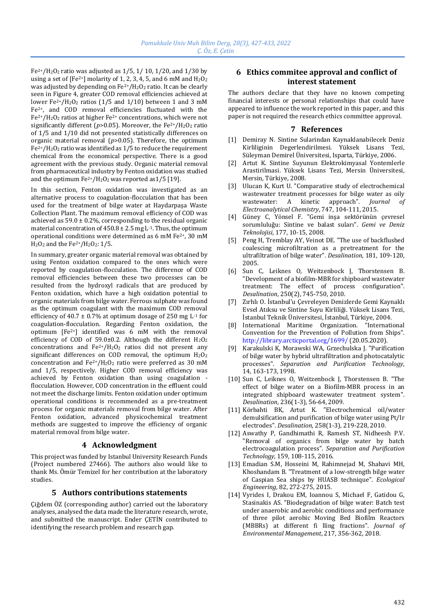$Fe<sup>2+</sup>/H<sub>2</sub>O<sub>2</sub>$  ratio was adjusted as 1/5, 1/ 10, 1/20, and 1/30 by using a set of [Fe<sup>2+</sup>] molarity of 1, 2, 3, 4, 5, and 6 mM and  $\rm H_2O_2$ was adjusted by depending on Fe<sup>2+</sup>/H<sub>2</sub>O<sub>2</sub> ratio. It can be clearly seen in Figure 4, greater COD removal efficiencies achieved at lower Fe<sup>2+</sup>/H<sub>2</sub>O<sub>2</sub> ratios (1/5 and 1/10) between 1 and 3 mM Fe2+, and COD removal efficiencies fluctuated with the  $Fe<sup>2+</sup>/H<sub>2</sub>O<sub>2</sub>$  ratios at higher Fe<sup>2+</sup> concentrations, which were not significantly different ( $p$ >0.05). Moreover, the Fe<sup>2+</sup>/H<sub>2</sub>O<sub>2</sub> ratio of 1/5 and 1/10 did not presented statistically differences on organic material removal (*p*>0.05). Therefore, the optimum  $Fe<sup>2+</sup>/H<sub>2</sub>O<sub>2</sub>$  ratio was identified as 1/5 to reduce the requirement chemical from the economical perspective. There is a good agreement with the previous study. Organic material removal from pharmaceutical industry by Fenton oxidation was studied and the optimum  $Fe^{2+}/H_2O_2$  was reported as 1/5 [19].

In this section, Fenton oxidation was investigated as an alternative process to coagulation-flocculation that has been used for the treatment of bilge water at Haydarpaşa Waste Collection Plant. The maximum removal efficiency of COD was achieved as  $59.0 \pm 0.2$ %, corresponding to the residual organic material concentration of  $450.8 \pm 2.5$  mg L<sup>-1</sup>. Thus, the optimum operational conditions were determined as 6 mM Fe2+, 30 mM  $H<sub>2</sub>O<sub>2</sub>$  and the Fe<sup>2+</sup>/H<sub>2</sub>O<sub>2</sub>: 1/5.

In summary, greater organic material removal was obtained by using Fenton oxidation compared to the ones which were reported by coagulation-flocculation. The difference of COD removal efficiencies between these two processes can be resulted from the hydroxyl radicals that are produced by Fenton oxidation, which have a high oxidation potential to organic materials from bilge water. Ferrous sulphate was found as the optimum coagulant with the maximum COD removal efficiency of 40.7  $\pm$  0.7% at optimum dosage of 250 mg L<sup>-1</sup> for coagulation-flocculation. Regarding Fenton oxidation, the optimum  $[Fe^{2+}]$  identified was 6 mM with the removal efficiency of COD of 59.0 $\pm$ 0.2. Although the different H<sub>2</sub>O<sub>2</sub> concentrations and  $Fe^{2+}/H_2O_2$  ratios did not present any significant differences on COD removal, the optimum H<sub>2</sub>O<sub>2</sub> concentration and Fe2+/H2O<sup>2</sup> ratio were preferred as 30 mM and 1/5, respectively. Higher COD removal efficiency was achieved by Fenton oxidation than using coagulation flocculation. However, COD concentration in the effluent could not meet the discharge limits. Fenton oxidation under optimum operational conditions is recommended as a pre-treatment process for organic materials removal from bilge water. After Fenton oxidation, advanced physicochemical treatment methods are suggested to improve the efficiency of organic material removal from bilge water.

# **4 Acknowledgment**

This project was funded by Istanbul University Research Funds (Project numbered 27466). The authors also would like to thank Ms. Ömür Temizel for her contribution at the laboratory studies.

# **5 Authors contributions statements**

Çiğdem ÖZ (corresponding author) carried out the laboratory analyses, analysed the data made the literature research, wrote, and submitted the manuscript. Ender ÇETİN contributed to identifying the research problem and research gap.

# **6 Ethics commitee approval and conflict of interest statement**

The authors declare that they have no known competing financial interests or personal relationships that could have appeared to influence the work reported in this paper, and this paper is not required the research ethics committee approval.

### **7 References**

- [1] Demiray N. Sintine Sularindan Kaynaklanabilecek Deniz Kirliliginin Degerlendirilmesi. Yüksek Lisans Tezi, Süleyman Demirel Üniversitesi, Isparta, Türkiye, 2006.
- [2] Artut K. Sintine Suyunun Elektrokimyasal Yontemlerle Arastirilmasi. Yüksek Lisans Tezi, Mersin Üniversitesi, Mersin, Türkiye, 2008.
- [3] Ulucan K, Kurt U. "Comparative study of electrochemical wastewater treatment processes for bilge water as oily wastewater: A kinetic approach". *Journal of Electroanalytical Chemistry*, 747, 104-111, 2015.
- [4] Güney C, Yönsel F. "Gemi inşa sektörünün çevresel sorumluluğu: Sintine ve balast suları". *Gemi ve Deniz Teknolojisi*, 177, 10-15, 2008.
- [5] Peng H, Tremblay AY, Veinot DE. "The use of backflushed coalescing microfiltration as a pretreatment for the ultrafiltration of bilge water". *Desalination*, 181, 109-120, 2005.
- [6] Sun C, Leiknes O, Weitzenbock J, Thorstensen B. "Development of a biofilm-MBR for shipboard wastewater treatment: The effect of process configuration". *Desalination*, 250(2), 745-750, 2010.
- [7] Zırhlı O. İstanbul'u Çevreleyen Denizlerde Gemi Kaynaklı Evsel Atıksu ve Sintine Suyu Kirliliği. Yüksek Lisans Tezi, İstanbul Teknik Üniversitesi, İstanbul, Türkiye, 2004.
- [8] International Maritime Organization. "International Convention for the Prevention of Pollution from Ships". <http://library.arcticportal.org/1699/> (20.05.2020).
- [9] Karakulski K, Morawski WA, Grzechulska J. "Purification of bilge water by hybrid ultrafiltration and photocatalytic processes". *Separation and Purification Technology*, 14, 163-173, 1998.
- [10] Sun C, Leiknes O, Weitzenbock J, Thorstensen B. "The effect of bilge water on a Biofilm-MBR process in an integrated shipboard wastewater treatment system". *Desalination*, 236(1-3), 56-64, 2009.
- [11] Körbahti BK, Artut K. "Electrochemical oil/water demulsification and purification of bilge water using Pt/Ir electrodes". *Desalination*, 258(1-3), 219-228, 2010.
- [12] Aswathy P, Gandhimathi R, Ramesh ST, Nidheesh P.V. "Removal of organics from bilge water by batch electrocoagulation process". *Separation and Purification Technology*, 159, 108-115, 2016.
- [13] Emadian S.M, Hosseini M, Rahimnejad M, Shahavi MH, Khoshandam B. "Treatment of a low-strength bilge water of Caspian Sea ships by HUASB technique". *Ecological Engineering*, 82, 272-275, 2015.
- [14] Vyrides I, Drakou EM, Ioannou S, Michael F, Gatidou G, Stasinakis AS. "Biodegradation of bilge water: Batch test under anaerobic and aerobic conditions and performance of three pilot aerobic Moving Bed Biofilm Reactors (MBBRs) at different fi lling fractions". *Journal of Environmental Management*, 217, 356-362, 2018.